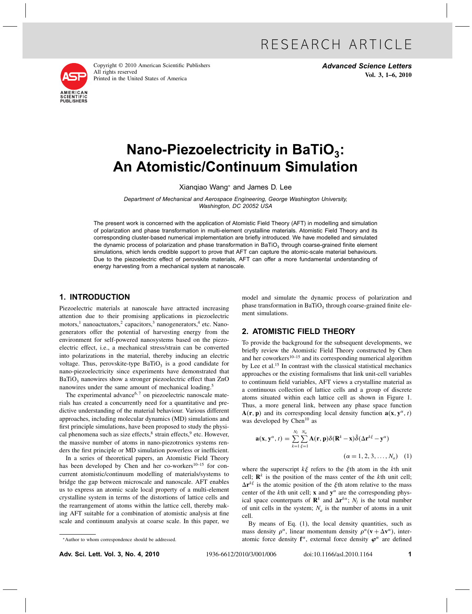

Copyright © 2010 American Scientific Publishers All rights reserved Printed in the United States of America

Advanced Science Letters Vol. 3, 1–6, 2010

# Nano-Piezoelectricity in BaTiO<sub>3</sub>: An Atomistic/Continuum Simulation

Xianqiao Wang<sup>∗</sup> and James D. Lee

Department of Mechanical and Aerospace Engineering, George Washington University, Washington, DC 20052 USA

The present work is concerned with the application of Atomistic Field Theory (AFT) in modelling and simulation of polarization and phase transformation in multi-element crystalline materials. Atomistic Field Theory and its corresponding cluster-based numerical implementation are briefly introduced. We have modelled and simulated the dynamic process of polarization and phase transformation in BaTiO<sub>3</sub> through coarse-grained finite element simulations, which lends credible support to prove that AFT can capture the atomic-scale material behaviours. Due to the piezoelectric effect of perovskite materials, AFT can offer a more fundamental understanding of energy harvesting from a mechanical system at nanoscale.

### 1. INTRODUCTION

Piezoelectric materials at nanoscale have attracted increasing attention due to their promising applications in piezoelectric motors,<sup>1</sup> nanoactuators,<sup>2</sup> capacitors,<sup>3</sup> nanogenerators,<sup>4</sup> etc. Nanogenerators offer the potential of harvesting energy from the environment for self-powered nanosystems based on the piezoelectric effect, i.e., a mechanical stress/strain can be converted into polarizations in the material, thereby inducing an electric voltage. Thus, perovskite-type  $BaTiO<sub>3</sub>$  is a good candidate for nano-piezoelectricity since experiments have demonstrated that  $BaTiO<sub>3</sub>$  nanowires show a stronger piezoelectric effect than ZnO nanowires under the same amount of mechanical loading.<sup>5</sup>

The experimental advance<sup>6,7</sup> on piezoelectric nanoscale materials has created a concurrently need for a quantitative and predictive understanding of the material behaviour. Various different approaches, including molecular dynamics (MD) simulations and first principle simulations, have been proposed to study the physical phenomena such as size effects, ${}^{8}$  strain effects, ${}^{9}$  etc. However, the massive number of atoms in nano-piezotronics systems renders the first principle or MD simulation powerless or inefficient.

In a series of theoretical papers, an Atomistic Field Theory has been developed by Chen and her co-workers<sup>10–15</sup> for concurrent atomistic/continuum modelling of materials/systems to bridge the gap between microscale and nanoscale. AFT enables us to express an atomic scale local property of a multi-element crystalline system in terms of the distortions of lattice cells and the rearrangement of atoms within the lattice cell, thereby making AFT suitable for a combination of atomistic analysis at fine scale and continuum analysis at coarse scale. In this paper, we

model and simulate the dynamic process of polarization and phase transformation in BaTiO<sub>3</sub> through coarse-grained finite element simulations.

## 2. ATOMISTIC FIELD THEORY

To provide the background for the subsequent developments, we briefly review the Atomistic Field Theory constructed by Chen and her coworkers<sup>10–15</sup> and its corresponding numerical algorithm by Lee et al.<sup>15</sup> In contrast with the classical statistical mechanics approaches or the existing formalisms that link unit-cell variables to continuum field variables, AFT views a crystalline material as a continuous collection of lattice cells and a group of discrete atoms situated within each lattice cell as shown in Figure 1. Thus, a more general link, between any phase space function  $A(r, p)$  and its corresponding local density function  $a(x, y^{\alpha}, t)$ was developed by Chen<sup>10</sup> as

$$
\mathbf{a}(\mathbf{x}, \mathbf{y}^{\alpha}, t) = \sum_{k=1}^{N_l} \sum_{\xi=1}^{N_a} \mathbf{A}(\mathbf{r}, \mathbf{p}) \delta(\mathbf{R}^k - \mathbf{x}) \tilde{\delta}(\Delta \mathbf{r}^{k\xi} - \mathbf{y}^{\alpha})
$$

$$
(\alpha = 1, 2, 3, ..., N_a) \quad (1)
$$

where the superscript  $k\xi$  refers to the  $\xi$ <sup>th</sup> atom in the *k*<sup>th</sup> unit cell;  $\mathbb{R}^k$  is the position of the mass center of the *k*th unit cell;  $\Delta r^{k\xi}$  is the atomic position of the  $\xi$ <sup>th</sup> atom relative to the mass center of the *k*th unit cell; **x** and  $y^{\alpha}$  are the corresponding physical space counterparts of  $\mathbf{R}^k$  and  $\Delta \mathbf{r}^{k\alpha}$ ; *N<sub>l</sub>* is the total number of unit cells in the system;  $N_a$  is the number of atoms in a unit cell.

By means of Eq.  $(1)$ , the local density quantities, such as mass density  $\rho^{\alpha}$ , linear momentum density  $\rho^{\alpha}(\mathbf{v} + \Delta \mathbf{v}^{\alpha})$ , interatomic force density  $f^{\alpha}$ , external force density  $\varphi^{\alpha}$  are defined

∗Author to whom correspondence should be addressed.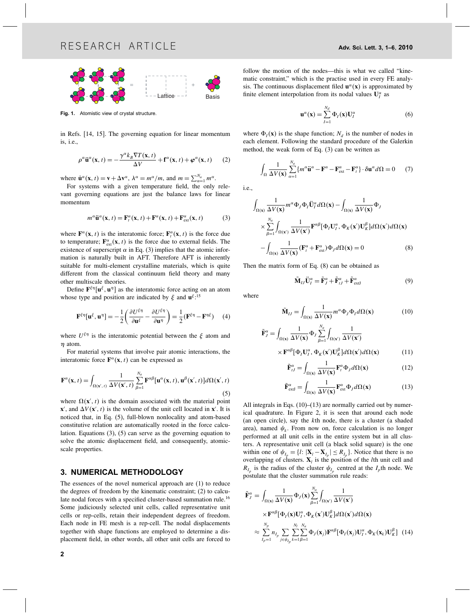

Fig. 1. Atomistic view of crystal structure.

in Refs. [14, 15]. The governing equation for linear momentum is, i.e.,

$$
\rho^{\alpha}\ddot{\mathbf{u}}^{\alpha}(\mathbf{x},t) = -\frac{\gamma^{\alpha}k_{B}\nabla T(\mathbf{x},t)}{\Delta V} + \mathbf{f}^{\alpha}(\mathbf{x},t) + \boldsymbol{\varphi}^{\alpha}(\mathbf{x},t) \qquad (2)
$$

where  $\mathbf{u}^{\alpha}(\mathbf{x}, t) = \mathbf{v} + \Delta \mathbf{v}^{\alpha}, \lambda^{\alpha} = m^{\alpha}/m$ , and  $m = \sum_{\alpha=1}^{N_a} m^{\alpha}$ .

For systems with a given temperature field, the only relevant governing equations are just the balance laws for linear momentum

$$
m^{\alpha}\ddot{\mathbf{u}}^{\alpha}(\mathbf{x},t) = \mathbf{F}_t^{\alpha}(\mathbf{x},t) + \mathbf{F}^{\alpha}(\mathbf{x},t) + \mathbf{F}_{\text{ext}}^{\alpha}(\mathbf{x},t)
$$
(3)

where  $\mathbf{F}^{\alpha}(\mathbf{x}, t)$  is the interatomic force;  $\mathbf{F}^{\alpha}_{t}(\mathbf{x}, t)$  is the force due to temperature;  $\mathbf{F}_{ext}^{\alpha}(\mathbf{x}, t)$  is the force due to external fields. The existence of superscript  $\alpha$  in Eq. (3) implies that the atomic information is naturally built in AFT. Therefore AFT is inherently suitable for multi-element crystalline materials, which is quite different from the classical continuum field theory and many other multiscale theories.

Define  $\mathbf{F}^{\xi\eta}[\mathbf{u}^\xi, \mathbf{u}^\eta]$  as the interatomic force acting on an atom whose type and position are indicated by  $\xi$  and  $\mathbf{u}^{\xi}$ .<sup>15</sup>

$$
\mathbf{F}^{\xi\eta}[\mathbf{u}^{\xi}, \mathbf{u}^{\eta}] = -\frac{1}{2} \left( \frac{\partial U^{\xi\eta}}{\partial \mathbf{u}^{\xi}} - \frac{\partial U^{\xi\eta}}{\partial \mathbf{u}^{\eta}} \right) = \frac{1}{2} (\mathbf{F}^{\xi\eta} - \mathbf{F}^{\eta\xi}) \tag{4}
$$

where  $U^{\xi\eta}$  is the interatomic potential between the  $\xi$  atom and  $\eta$  atom.

For material systems that involve pair atomic interactions, the interatomic force  $\mathbf{F}^{\alpha}(\mathbf{x}, t)$  can be expressed as

$$
\mathbf{F}^{\alpha}(\mathbf{x},t) = \int_{\Omega(\mathbf{x}',t)} \frac{1}{\Delta V(\mathbf{x}',t)} \sum_{\beta=1}^{N_a} \mathbf{F}^{\alpha\beta}[\mathbf{u}^{\alpha}(\mathbf{x},t),\mathbf{u}^{\beta}(\mathbf{x}',t)] d\Omega(\mathbf{x}',t)
$$
(5)

where  $\Omega(\mathbf{x}', t)$  is the domain associated with the material point  $\mathbf{x}'$ , and  $\Delta V(\mathbf{x}', t)$  is the volume of the unit cell located in  $\mathbf{x}'$ . It is noticed that, in Eq. (5), full-blown nonlocality and atom-based constitutive relation are automatically rooted in the force calculation. Equations (3), (5) can serve as the governing equation to solve the atomic displacement field, and consequently, atomicscale properties.

### 3. NUMERICAL METHODOLOGY

The essences of the novel numerical approach are (1) to reduce the degrees of freedom by the kinematic constraint; (2) to calculate nodal forces with a specified cluster-based summation rule.<sup>16</sup> Some judiciously selected unit cells, called representative unit cells or rep-cells, retain their independent degrees of freedom. Each node in FE mesh is a rep-cell. The nodal displacements together with shape functions are employed to determine a displacement field, in other words, all other unit cells are forced to

follow the motion of the nodes—this is what we called "kinematic constraint," which is the practise used in every FE analysis. The continuous displacement filed  $\mathbf{u}^{\alpha}(\mathbf{x})$  is approximated by finite element interpolation from its nodal values  $U_I^{\alpha}$  as

$$
\mathbf{u}^{\alpha}(\mathbf{x}) = \sum_{I=1}^{N_d} \Phi_I(\mathbf{x}) \mathbf{U}_I^{\alpha}
$$
 (6)

where  $\Phi_I(\mathbf{x})$  is the shape function;  $N_d$  is the number of nodes in each element. Following the standard procedure of the Galerkin method, the weak form of Eq. (3) can be written as

$$
\int_{\Omega} \frac{1}{\Delta V(\mathbf{x})} \sum_{\alpha=1}^{N_a} \{ m^{\alpha} \ddot{\mathbf{u}}^{\alpha} - \mathbf{F}^{\alpha} - \mathbf{F}_{ext}^{\alpha} - \mathbf{F}_{t}^{\alpha} \} \cdot \delta \mathbf{u}^{\alpha} d\Omega = 0 \tag{7}
$$

i.e.,

$$
\int_{\Omega(\mathbf{x})} \frac{1}{\Delta V(\mathbf{x})} m^{\alpha} \Phi_J \Phi_I \ddot{\mathbf{U}}_I^{\alpha} d\Omega(\mathbf{x}) - \int_{\Omega(\mathbf{x})} \frac{1}{\Delta V(\mathbf{x})} \Phi_J
$$
\n
$$
\times \sum_{\beta=1}^{N_a} \int_{\Omega(\mathbf{x}')} \frac{1}{\Delta V(\mathbf{x}')} \mathbf{F}^{\alpha\beta} [\Phi_J \mathbf{U}_I^{\alpha}, \Phi_K(\mathbf{x}') \mathbf{U}_K^{\beta}] d\Omega(\mathbf{x}') d\Omega(\mathbf{x})
$$
\n
$$
- \int_{\Omega(\mathbf{x})} \frac{1}{\Delta V(\mathbf{x})} (\mathbf{F}_I^{\alpha} + \mathbf{F}_{\text{ext}}^{\alpha}) \Phi_J d\Omega(\mathbf{x}) = 0 \tag{8}
$$

Then the matrix form of Eq. (8) can be obtained as

$$
\tilde{\mathbf{M}}_{IJ}\ddot{\mathbf{U}}_I^{\alpha} = \tilde{\mathbf{F}}_J^{\alpha} + \tilde{\mathbf{F}}_{IJ}^{\alpha} + \tilde{\mathbf{F}}_{extJ}^{\alpha}
$$
\n(9)

where

$$
\tilde{\mathbf{M}}_{IJ} = \int_{\Omega(\mathbf{x})} \frac{1}{\Delta V(\mathbf{x})} m^{\alpha} \Phi_J \Phi_I d\Omega(\mathbf{x}) \tag{10}
$$

$$
\tilde{\mathbf{F}}_{J}^{\alpha} = \int_{\Omega(\mathbf{x})} \frac{1}{\Delta V(\mathbf{x})} \Phi_{J} \sum_{\beta=1}^{N_{a}} \int_{\Omega(\mathbf{x}')} \frac{1}{\Delta V(\mathbf{x}')}\n\times \mathbf{F}^{\alpha\beta} [\Phi_{J} \mathbf{U}_{J}^{\alpha}, \Phi_{K}(\mathbf{x}') \mathbf{U}_{K}^{\beta}] d\Omega(\mathbf{x}') d\Omega(\mathbf{x})
$$
\n(11)

$$
\tilde{\mathbf{F}}_{tJ}^{\alpha} = \int_{\Omega(\mathbf{x})} \frac{1}{\Delta V(\mathbf{x})} \mathbf{F}_t^{\alpha} \Phi_J d\Omega(\mathbf{x}) \tag{12}
$$

$$
\tilde{\mathbf{F}}_{extl}^{\alpha} = \int_{\Omega(\mathbf{x})} \frac{1}{\Delta V(\mathbf{x})} \mathbf{F}_{ext}^{\alpha} \Phi_{J} d\Omega(\mathbf{x}) \tag{13}
$$

All integrals in Eqs.  $(10)$ – $(13)$  are normally carried out by numerical quadrature. In Figure 2, it is seen that around each node (an open circle), say the *k*th node, there is a cluster (a shaded area), named  $\psi_k$ . From now on, force calculation is no longer performed at all unit cells in the entire system but in all clusters. A representative unit cell (a black solid square) is the one within one of  $\psi_{I_n} = \{l : |\mathbf{X}_l - \mathbf{X}_{I_n}| \le R_{I_n}\}\.$  Notice that there is no overlapping of clusters.  $X_l$  is the position of the *l*th unit cell and  $R_{I_p}$  is the radius of the cluster  $\psi_{I_p}$  centred at the  $I_p$ th node. We postulate that the cluster summation rule reads:

$$
\tilde{\mathbf{F}}_{j}^{\alpha} = \int_{\Omega(\mathbf{x})} \frac{1}{\Delta V(\mathbf{x})} \Phi_{j}(\mathbf{x}) \sum_{\beta=1}^{N_{a}} \int_{\Omega(\mathbf{x}')} \frac{1}{\Delta V(\mathbf{x}')}\n\n\times \mathbf{F}^{\alpha\beta} [\Phi_{j}(\mathbf{x}) \mathbf{U}_{j}^{\alpha}, \Phi_{K}(\mathbf{x}') \mathbf{U}_{K}^{\beta}] d\Omega(\mathbf{x}') d\Omega(\mathbf{x})\n\n\times \sum_{I_{p}=1}^{N_{p}} n_{I_{p}} \sum_{j \in \psi_{I_{p}}} \sum_{k=1}^{N_{l}} \sum_{\beta=1}^{N_{a}} \Phi_{j}(\mathbf{x}_{j}) \mathbf{F}^{\alpha\beta} [\Phi_{j}(\mathbf{x}_{j}) \mathbf{U}_{j}^{\alpha}, \Phi_{K}(\mathbf{x}_{k}) \mathbf{U}_{K}^{\beta}] \tag{14}
$$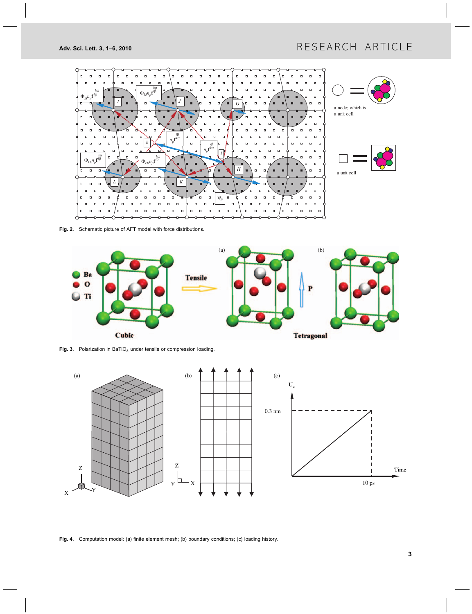

Fig. 2. Schematic picture of AFT model with force distributions.



Fig. 3. Polarization in BaTiO<sub>3</sub> under tensile or compression loading.



Fig. 4. Computation model: (a) finite element mesh; (b) boundary conditions; (c) loading history.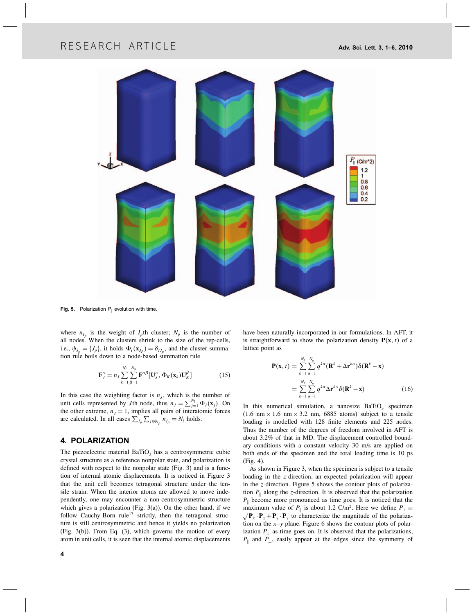# RESEARCH ARTICLE **Adv.** Sci. Lett. 3, 1–6, 2010



**Fig. 5.** Polarization  $P_{\parallel}$  evolution with time.

where  $n_{I_p}$  is the weight of  $I_p$ th cluster;  $N_p$  is the number of all nodes. When the clusters shrink to the size of the rep-cells, i.e.,  $\psi_{J_p} = \{J_p\}$ , it holds  $\Phi_I(\mathbf{x}_{J_p}) = \delta_{IJ_p}$ , and the cluster summation rule boils down to a node-based summation rule

$$
\mathbf{F}_{J}^{\alpha} = n_{J} \sum_{k=1}^{N_{l}} \sum_{\beta=1}^{N_{a}} \mathbf{F}^{\alpha\beta} [\mathbf{U}_{J}^{\alpha}, \Phi_{K}(\mathbf{x}_{k}) \mathbf{U}_{K}^{\beta}]
$$
(15)

In this case the weighting factor is  $n<sub>J</sub>$ , which is the number of unit cells represented by *J*th node, thus  $n_j = \sum_{j=1}^{N_l} \Phi_j(\mathbf{x}_j)$ . On the other extreme,  $n<sub>J</sub> = 1$ , implies all pairs of interatomic forces are calculated. In all cases  $\sum_{I_p} \sum_{j \in \psi_{I_p}} n_{I_p} = N_l$  holds.

### 4. POLARIZATION

The piezoelectric material  $BaTiO<sub>3</sub>$  has a centrosymmetric cubic crystal structure as a reference nonpolar state, and polarization is defined with respect to the nonpolar state (Fig. 3) and is a function of internal atomic displacements. It is noticed in Figure 3 that the unit cell becomes tetragonal structure under the tensile strain. When the interior atoms are allowed to move independently, one may encounter a non-centrosymmetric structure which gives a polarization (Fig.  $3(a)$ ). On the other hand, if we follow Cauchy-Born rule<sup>17</sup> strictly, then the tetragonal structure is still centrosymmetric and hence it yields no polarization (Fig. 3(b)). From Eq. (3), which governs the motion of every atom in unit cells, it is seen that the internal atomic displacements

have been naturally incorporated in our formulations. In AFT, it is straightforward to show the polarization density  $P(x, t)$  of a lattice point as

$$
\mathbf{P}(\mathbf{x}, t) = \sum_{k=1}^{N_l} \sum_{\alpha=1}^{N_a} q^{k\alpha} (\mathbf{R}^k + \Delta \mathbf{r}^{k\alpha}) \delta(\mathbf{R}^k - \mathbf{x})
$$

$$
= \sum_{k=1}^{N_l} \sum_{\alpha=1}^{N_a} q^{k\alpha} \Delta \mathbf{r}^{k\alpha} \delta(\mathbf{R}^k - \mathbf{x})
$$
(16)

In this numerical simulation, a nanosize  $BaTiO<sub>3</sub>$  specimen  $(1.6 \text{ nm} \times 1.6 \text{ nm} \times 3.2 \text{ nm}, 6885 \text{ atoms})$  subject to a tensile loading is modelled with 128 finite elements and 225 nodes. Thus the number of the degrees of freedom involved in AFT is about 3.2% of that in MD. The displacement controlled boundary conditions with a constant velocity 30 m/s are applied on both ends of the specimen and the total loading time is 10 ps (Fig. 4).

As shown in Figure 3, when the specimen is subject to a tensile loading in the *z*-direction, an expected polarization will appear in the *z*-direction. Figure 5 shows the contour plots of polarization  $P_{\parallel}$  along the *z*-direction. It is observed that the polarization  $P_{\parallel}$  become more pronounced as time goes. It is noticed that the maximum value of *P*<sub>|</sub> is about 1.2 C/m<sup>2</sup>. Here we define  $P_{\perp} = \sqrt{P_x \cdot P_y \cdot P_y \cdot P_y}$  to characterize the magnitude of the polarization on the *x*–*y* plane. Figure 6 shows the contour plots of polarization  $P_{\perp}$  as time goes on. It is observed that the polarizations, *P*<sub>∥</sub> and *P*<sub>⊥</sub>, easily appear at the edges since the symmetry of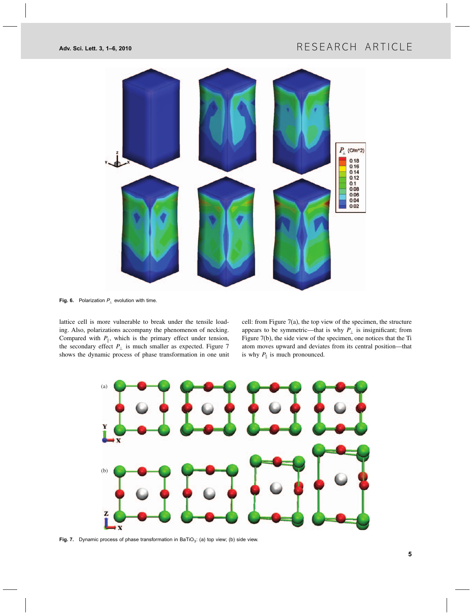

Fig. 6. Polarization  $P_{\perp}$  evolution with time.

lattice cell is more vulnerable to break under the tensile loading. Also, polarizations accompany the phenomenon of necking. Compared with  $P_{\parallel}$ , which is the primary effect under tension, the secondary effect  $P_{\perp}$  is much smaller as expected. Figure 7 shows the dynamic process of phase transformation in one unit

cell: from Figure 7(a), the top view of the specimen, the structure appears to be symmetric—that is why  $P_{\perp}$  is insignificant; from Figure 7(b), the side view of the specimen, one notices that the Ti atom moves upward and deviates from its central position—that is why  $P_{\parallel}$  is much pronounced.



Fig. 7. Dynamic process of phase transformation in BaTiO<sub>3</sub>: (a) top view; (b) side view.